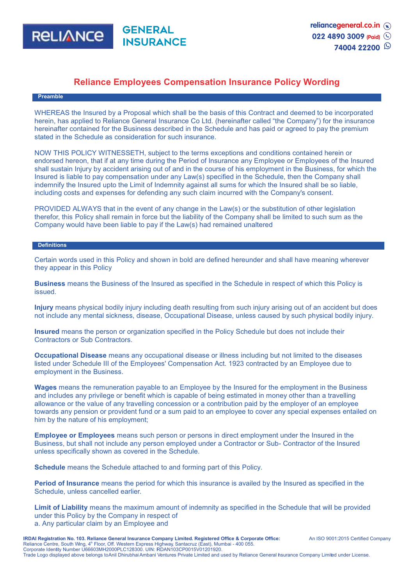

# **Reliance Employees Compensation Insurance Policy Wording**

### **Preamble**

WHEREAS the Insured by a Proposal which shall be the basis of this Contract and deemed to be incorporated herein, has applied to Reliance General Insurance Co Ltd. (hereinafter called "the Company") for the insurance hereinafter contained for the Business described in the Schedule and has paid or agreed to pay the premium stated in the Schedule as consideration for such insurance.

NOW THIS POLICY WITNESSETH, subject to the terms exceptions and conditions contained herein or endorsed hereon, that if at any time during the Period of Insurance any Employee or Employees of the Insured shall sustain Injury by accident arising out of and in the course of his employment in the Business, for which the Insured is liable to pay compensation under any Law(s) specified in the Schedule, then the Company shall indemnify the Insured upto the Limit of Indemnity against all sums for which the Insured shall be so liable, including costs and expenses for defending any such claim incurred with the Company's consent.

PROVIDED ALWAYS that in the event of any change in the Law(s) or the substitution of other legislation therefor, this Policy shall remain in force but the liability of the Company shall be limited to such sum as the Company would have been liable to pay if the Law(s) had remained unaltered

#### **Definitions**

Certain words used in this Policy and shown in bold are defined hereunder and shall have meaning wherever they appear in this Policy

**Business** means the Business of the Insured as specified in the Schedule in respect of which this Policy is issued.

**Injury** means physical bodily injury including death resulting from such injury arising out of an accident but does not include any mental sickness, disease, Occupational Disease, unless caused by such physical bodily injury.

**Insured** means the person or organization specified in the Policy Schedule but does not include their Contractors or Sub Contractors.

**Occupational Disease** means any occupational disease or illness including but not limited to the diseases listed under Schedule III of the Employees' Compensation Act. 1923 contracted by an Employee due to employment in the Business.

**Wages** means the remuneration payable to an Employee by the Insured for the employment in the Business and includes any privilege or benefit which is capable of being estimated in money other than a travelling allowance or the value of any travelling concession or a contribution paid by the employer of an employee towards any pension or provident fund or a sum paid to an employee to cover any special expenses entailed on him by the nature of his employment;

**Employee or Employees** means such person or persons in direct employment under the Insured in the Business, but shall not include any person employed under a Contractor or Sub- Contractor of the Insured unless specifically shown as covered in the Schedule.

**Schedule** means the Schedule attached to and forming part of this Policy.

**Period of Insurance** means the period for which this insurance is availed by the Insured as specified in the Schedule, unless cancelled earlier.

**Limit of Liability** means the maximum amount of indemnity as specified in the Schedule that will be provided under this Policy by the Company in respect of a. Any particular claim by an Employee and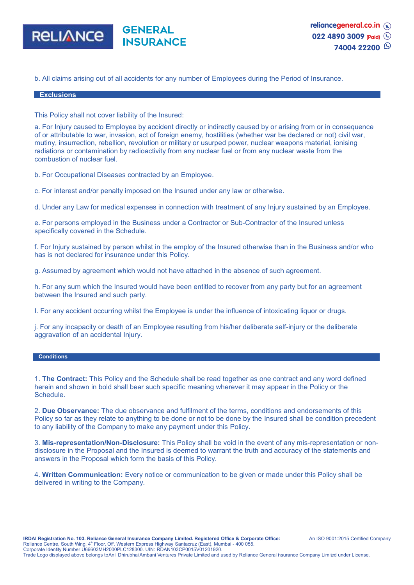

b. All claims arising out of all accidents for any number of Employees during the Period of Insurance.

#### **Exclusions**

This Policy shall not cover liability of the Insured:

a. For Injury caused to Employee by accident directly or indirectly caused by or arising from or in consequence of or attributable to war, invasion, act of foreign enemy, hostilities (whether war be declared or not) civil war, mutiny, insurrection, rebellion, revolution or military or usurped power, nuclear weapons material, ionising radiations or contamination by radioactivity from any nuclear fuel or from any nuclear waste from the combustion of nuclear fuel.

b. For Occupational Diseases contracted by an Employee.

c. For interest and/or penalty imposed on the Insured under any law or otherwise.

d. Under any Law for medical expenses in connection with treatment of any Injury sustained by an Employee.

e. For persons employed in the Business under a Contractor or Sub-Contractor of the Insured unless specifically covered in the Schedule.

f. For Injury sustained by person whilst in the employ of the Insured otherwise than in the Business and/or who has is not declared for insurance under this Policy.

g. Assumed by agreement which would not have attached in the absence of such agreement.

h. For any sum which the Insured would have been entitled to recover from any party but for an agreement between the Insured and such party.

I. For any accident occurring whilst the Employee is under the influence of intoxicating liquor or drugs.

j. For any incapacity or death of an Employee resulting from his/her deliberate self-injury or the deliberate aggravation of an accidental Injury.

#### **Conditions**

1. **The Contract:** This Policy and the Schedule shall be read together as one contract and any word defined herein and shown in bold shall bear such specific meaning wherever it may appear in the Policy or the Schedule.

2. **Due Observance:** The due observance and fulfilment of the terms, conditions and endorsements of this Policy so far as they relate to anything to be done or not to be done by the Insured shall be condition precedent to any liability of the Company to make any payment under this Policy.

3. **Mis-representation/Non-Disclosure:** This Policy shall be void in the event of any mis-representation or nondisclosure in the Proposal and the Insured is deemed to warrant the truth and accuracy of the statements and answers in the Proposal which form the basis of this Policy.

4. **Written Communication:** Every notice or communication to be given or made under this Policy shall be delivered in writing to the Company.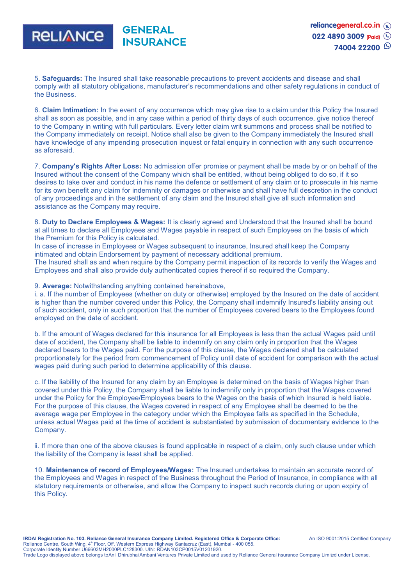

5. **Safeguards:** The Insured shall take reasonable precautions to prevent accidents and disease and shall comply with all statutory obligations, manufacturer's recommendations and other safety regulations in conduct of the Business.

6. **Claim Intimation:** In the event of any occurrence which may give rise to a claim under this Policy the Insured shall as soon as possible, and in any case within a period of thirty days of such occurrence, give notice thereof to the Company in writing with full particulars. Every letter claim writ summons and process shall be notified to the Company immediately on receipt. Notice shall also be given to the Company immediately the Insured shall have knowledge of any impending prosecution inquest or fatal enquiry in connection with any such occurrence as aforesaid.

7. **Company's Rights After Loss:** No admission offer promise or payment shall be made by or on behalf of the Insured without the consent of the Company which shall be entitled, without being obliged to do so, if it so desires to take over and conduct in his name the defence or settlement of any claim or to prosecute in his name for its own benefit any claim for indemnity or damages or otherwise and shall have full descretion in the conduct of any proceedings and in the settlement of any claim and the Insured shall give all such information and assistance as the Company may require.

8. **Duty to Declare Employees & Wages:** It is clearly agreed and Understood that the Insured shall be bound at all times to declare all Employees and Wages payable in respect of such Employees on the basis of which the Premium for this Policy is calculated.

In case of increase in Employees or Wages subsequent to insurance, Insured shall keep the Company intimated and obtain Endorsement by payment of necessary additional premium.

The Insured shall as and when require by the Company permit inspection of its records to verify the Wages and Employees and shall also provide duly authenticated copies thereof if so required the Company.

## 9. **Average:** Notwithstanding anything contained hereinabove,

i. a. If the number of Employees (whether on duty or otherwise) employed by the Insured on the date of accident is higher than the number covered under this Policy, the Company shall indemnify Insured's liability arising out of such accident, only in such proportion that the number of Employees covered bears to the Employees found employed on the date of accident.

b. If the amount of Wages declared for this insurance for all Employees is less than the actual Wages paid until date of accident, the Company shall be liable to indemnify on any claim only in proportion that the Wages declared bears to the Wages paid. For the purpose of this clause, the Wages declared shall be calculated proportionately for the period from commencement of Policy until date of accident for comparison with the actual wages paid during such period to determine applicability of this clause.

c. If the liability of the Insured for any claim by an Employee is determined on the basis of Wages higher than covered under this Policy, the Company shall be liable to indemnify only in proportion that the Wages covered under the Policy for the Employee/Employees bears to the Wages on the basis of which Insured is held liable. For the purpose of this clause, the Wages covered in respect of any Employee shall be deemed to be the average wage per Employee in the category under which the Employee falls as specified in the Schedule, unless actual Wages paid at the time of accident is substantiated by submission of documentary evidence to the Company.

ii. If more than one of the above clauses is found applicable in respect of a claim, only such clause under which the liability of the Company is least shall be applied.

10. **Maintenance of record of Employees/Wages:** The Insured undertakes to maintain an accurate record of the Employees and Wages in respect of the Business throughout the Period of Insurance, in compliance with all statutory requirements or otherwise, and allow the Company to inspect such records during or upon expiry of this Policy.